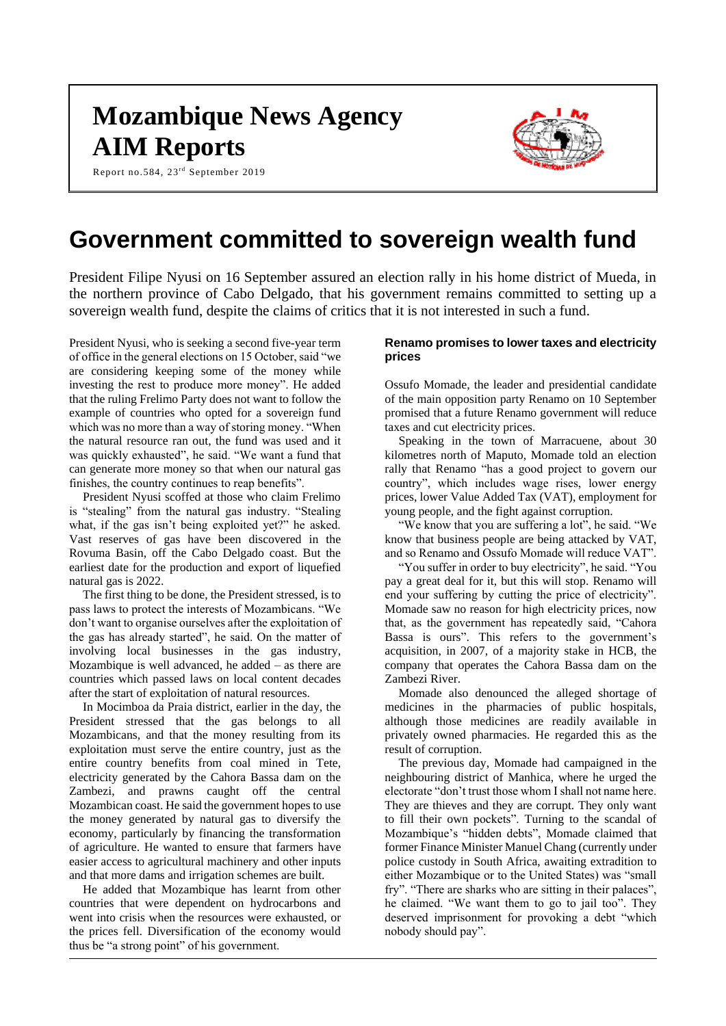# **Mozambique News Agency AIM Reports**

Report no.584, 23<sup>rd</sup> September 2019



## **Government committed to sovereign wealth fund**

President Filipe Nyusi on 16 September assured an election rally in his home district of Mueda, in the northern province of Cabo Delgado, that his government remains committed to setting up a sovereign wealth fund, despite the claims of critics that it is not interested in such a fund.

President Nyusi, who is seeking a second five-year term of office in the general elections on 15 October, said "we are considering keeping some of the money while investing the rest to produce more money". He added that the ruling Frelimo Party does not want to follow the example of countries who opted for a sovereign fund which was no more than a way of storing money. "When the natural resource ran out, the fund was used and it was quickly exhausted", he said. "We want a fund that can generate more money so that when our natural gas finishes, the country continues to reap benefits".

President Nyusi scoffed at those who claim Frelimo is "stealing" from the natural gas industry. "Stealing what, if the gas isn't being exploited yet?" he asked. Vast reserves of gas have been discovered in the Rovuma Basin, off the Cabo Delgado coast. But the earliest date for the production and export of liquefied natural gas is 2022.

The first thing to be done, the President stressed, is to pass laws to protect the interests of Mozambicans. "We don't want to organise ourselves after the exploitation of the gas has already started", he said. On the matter of involving local businesses in the gas industry, Mozambique is well advanced, he added – as there are countries which passed laws on local content decades after the start of exploitation of natural resources.

In Mocimboa da Praia district, earlier in the day, the President stressed that the gas belongs to all Mozambicans, and that the money resulting from its exploitation must serve the entire country, just as the entire country benefits from coal mined in Tete, electricity generated by the Cahora Bassa dam on the Zambezi, and prawns caught off the central Mozambican coast. He said the government hopes to use the money generated by natural gas to diversify the economy, particularly by financing the transformation of agriculture. He wanted to ensure that farmers have easier access to agricultural machinery and other inputs and that more dams and irrigation schemes are built.

He added that Mozambique has learnt from other countries that were dependent on hydrocarbons and went into crisis when the resources were exhausted, or the prices fell. Diversification of the economy would thus be "a strong point" of his government.

#### **Renamo promises to lower taxes and electricity prices**

Ossufo Momade, the leader and presidential candidate of the main opposition party Renamo on 10 September promised that a future Renamo government will reduce taxes and cut electricity prices.

Speaking in the town of Marracuene, about 30 kilometres north of Maputo, Momade told an election rally that Renamo "has a good project to govern our country", which includes wage rises, lower energy prices, lower Value Added Tax (VAT), employment for young people, and the fight against corruption.

"We know that you are suffering a lot", he said. "We know that business people are being attacked by VAT, and so Renamo and Ossufo Momade will reduce VAT".

"You suffer in order to buy electricity", he said. "You pay a great deal for it, but this will stop. Renamo will end your suffering by cutting the price of electricity". Momade saw no reason for high electricity prices, now that, as the government has repeatedly said, "Cahora Bassa is ours". This refers to the government's acquisition, in 2007, of a majority stake in HCB, the company that operates the Cahora Bassa dam on the Zambezi River.

Momade also denounced the alleged shortage of medicines in the pharmacies of public hospitals, although those medicines are readily available in privately owned pharmacies. He regarded this as the result of corruption.

The previous day, Momade had campaigned in the neighbouring district of Manhica, where he urged the electorate "don't trust those whom I shall not name here. They are thieves and they are corrupt. They only want to fill their own pockets". Turning to the scandal of Mozambique's "hidden debts", Momade claimed that former Finance Minister Manuel Chang (currently under police custody in South Africa, awaiting extradition to either Mozambique or to the United States) was "small fry". "There are sharks who are sitting in their palaces", he claimed. "We want them to go to jail too". They deserved imprisonment for provoking a debt "which nobody should pay".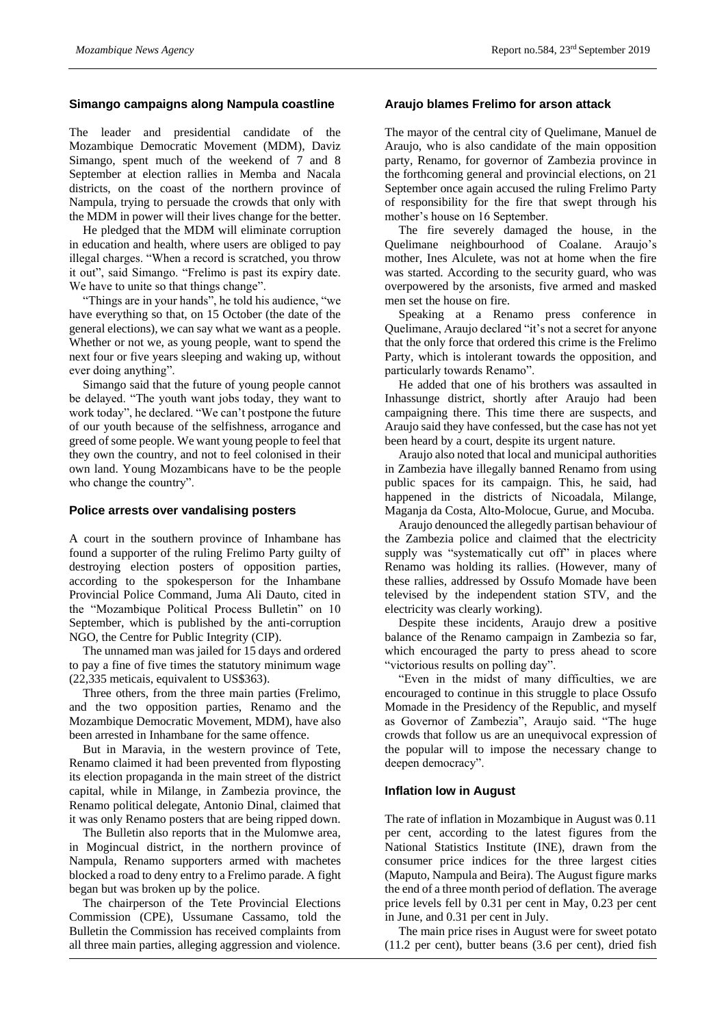#### **Simango campaigns along Nampula coastline**

The leader and presidential candidate of the Mozambique Democratic Movement (MDM), Daviz Simango, spent much of the weekend of 7 and 8 September at election rallies in Memba and Nacala districts, on the coast of the northern province of Nampula, trying to persuade the crowds that only with the MDM in power will their lives change for the better.

He pledged that the MDM will eliminate corruption in education and health, where users are obliged to pay illegal charges. "When a record is scratched, you throw it out", said Simango. "Frelimo is past its expiry date. We have to unite so that things change".

"Things are in your hands", he told his audience, "we have everything so that, on 15 October (the date of the general elections), we can say what we want as a people. Whether or not we, as young people, want to spend the next four or five years sleeping and waking up, without ever doing anything".

Simango said that the future of young people cannot be delayed. "The youth want jobs today, they want to work today", he declared. "We can't postpone the future of our youth because of the selfishness, arrogance and greed of some people. We want young people to feel that they own the country, and not to feel colonised in their own land. Young Mozambicans have to be the people who change the country".

#### **Police arrests over vandalising posters**

A court in the southern province of Inhambane has found a supporter of the ruling Frelimo Party guilty of destroying election posters of opposition parties, according to the spokesperson for the Inhambane Provincial Police Command, Juma Ali Dauto, cited in the "Mozambique Political Process Bulletin" on 10 September, which is published by the anti-corruption NGO, the Centre for Public Integrity (CIP).

The unnamed man was jailed for 15 days and ordered to pay a fine of five times the statutory minimum wage (22,335 meticais, equivalent to US\$363).

Three others, from the three main parties (Frelimo, and the two opposition parties, Renamo and the Mozambique Democratic Movement, MDM), have also been arrested in Inhambane for the same offence.

But in Maravia, in the western province of Tete, Renamo claimed it had been prevented from flyposting its election propaganda in the main street of the district capital, while in Milange, in Zambezia province, the Renamo political delegate, Antonio Dinal, claimed that it was only Renamo posters that are being ripped down.

The Bulletin also reports that in the Mulomwe area, in Mogincual district, in the northern province of Nampula, Renamo supporters armed with machetes blocked a road to deny entry to a Frelimo parade. A fight began but was broken up by the police.

The chairperson of the Tete Provincial Elections Commission (CPE), Ussumane Cassamo, told the Bulletin the Commission has received complaints from all three main parties, alleging aggression and violence.

#### **Araujo blames Frelimo for arson attack**

The mayor of the central city of Quelimane, Manuel de Araujo, who is also candidate of the main opposition party, Renamo, for governor of Zambezia province in the forthcoming general and provincial elections, on 21 September once again accused the ruling Frelimo Party of responsibility for the fire that swept through his mother's house on 16 September.

The fire severely damaged the house, in the Quelimane neighbourhood of Coalane. Araujo's mother, Ines Alculete, was not at home when the fire was started. According to the security guard, who was overpowered by the arsonists, five armed and masked men set the house on fire.

Speaking at a Renamo press conference in Quelimane, Araujo declared "it's not a secret for anyone that the only force that ordered this crime is the Frelimo Party, which is intolerant towards the opposition, and particularly towards Renamo".

He added that one of his brothers was assaulted in Inhassunge district, shortly after Araujo had been campaigning there. This time there are suspects, and Araujo said they have confessed, but the case has not yet been heard by a court, despite its urgent nature.

Araujo also noted that local and municipal authorities in Zambezia have illegally banned Renamo from using public spaces for its campaign. This, he said, had happened in the districts of Nicoadala, Milange, Maganja da Costa, Alto-Molocue, Gurue, and Mocuba.

Araujo denounced the allegedly partisan behaviour of the Zambezia police and claimed that the electricity supply was "systematically cut off" in places where Renamo was holding its rallies. (However, many of these rallies, addressed by Ossufo Momade have been televised by the independent station STV, and the electricity was clearly working).

Despite these incidents, Araujo drew a positive balance of the Renamo campaign in Zambezia so far, which encouraged the party to press ahead to score "victorious results on polling day".

"Even in the midst of many difficulties, we are encouraged to continue in this struggle to place Ossufo Momade in the Presidency of the Republic, and myself as Governor of Zambezia", Araujo said. "The huge crowds that follow us are an unequivocal expression of the popular will to impose the necessary change to deepen democracy".

#### **Inflation low in August**

The rate of inflation in Mozambique in August was 0.11 per cent, according to the latest figures from the National Statistics Institute (INE), drawn from the consumer price indices for the three largest cities (Maputo, Nampula and Beira). The August figure marks the end of a three month period of deflation. The average price levels fell by 0.31 per cent in May, 0.23 per cent in June, and 0.31 per cent in July.

The main price rises in August were for sweet potato (11.2 per cent), butter beans (3.6 per cent), dried fish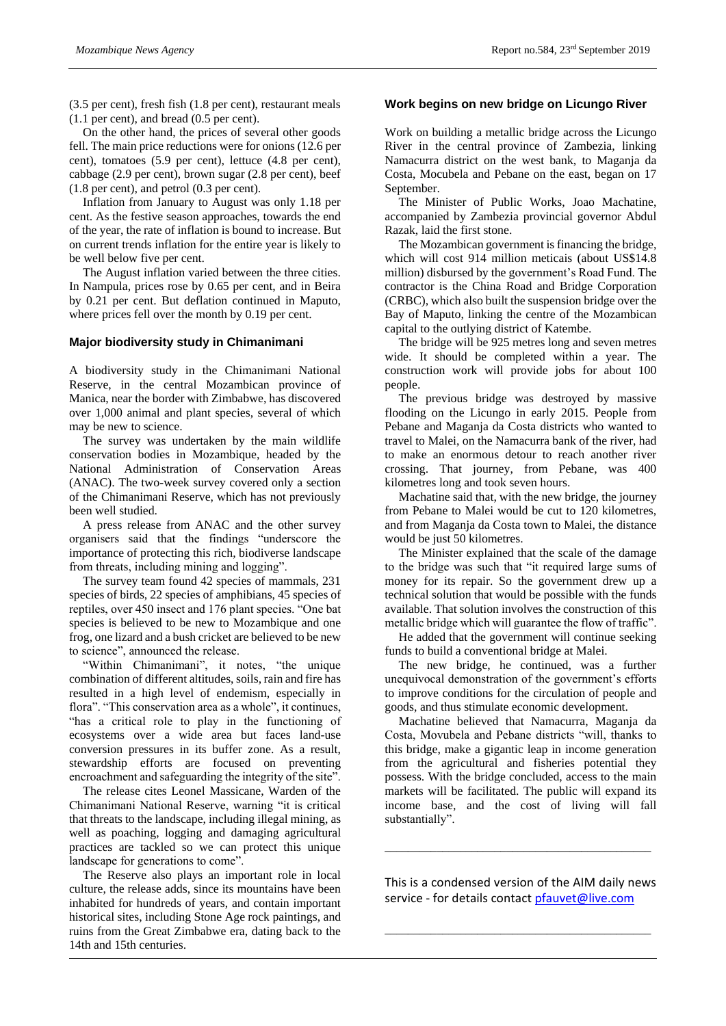(3.5 per cent), fresh fish (1.8 per cent), restaurant meals (1.1 per cent), and bread (0.5 per cent).

On the other hand, the prices of several other goods fell. The main price reductions were for onions (12.6 per cent), tomatoes (5.9 per cent), lettuce (4.8 per cent), cabbage (2.9 per cent), brown sugar (2.8 per cent), beef (1.8 per cent), and petrol (0.3 per cent).

Inflation from January to August was only 1.18 per cent. As the festive season approaches, towards the end of the year, the rate of inflation is bound to increase. But on current trends inflation for the entire year is likely to be well below five per cent.

The August inflation varied between the three cities. In Nampula, prices rose by 0.65 per cent, and in Beira by 0.21 per cent. But deflation continued in Maputo, where prices fell over the month by 0.19 per cent.

#### **Major biodiversity study in Chimanimani**

A biodiversity study in the Chimanimani National Reserve, in the central Mozambican province of Manica, near the border with Zimbabwe, has discovered over 1,000 animal and plant species, several of which may be new to science.

The survey was undertaken by the main wildlife conservation bodies in Mozambique, headed by the National Administration of Conservation Areas (ANAC). The two-week survey covered only a section of the Chimanimani Reserve, which has not previously been well studied.

A press release from ANAC and the other survey organisers said that the findings "underscore the importance of protecting this rich, biodiverse landscape from threats, including mining and logging".

The survey team found 42 species of mammals, 231 species of birds, 22 species of amphibians, 45 species of reptiles, over 450 insect and 176 plant species. "One bat species is believed to be new to Mozambique and one frog, one lizard and a bush cricket are believed to be new to science", announced the release.

"Within Chimanimani", it notes, "the unique combination of different altitudes, soils, rain and fire has resulted in a high level of endemism, especially in flora". "This conservation area as a whole", it continues, "has a critical role to play in the functioning of ecosystems over a wide area but faces land-use conversion pressures in its buffer zone. As a result, stewardship efforts are focused on preventing encroachment and safeguarding the integrity of the site".

The release cites Leonel Massicane, Warden of the Chimanimani National Reserve, warning "it is critical that threats to the landscape, including illegal mining, as well as poaching, logging and damaging agricultural practices are tackled so we can protect this unique landscape for generations to come".

The Reserve also plays an important role in local culture, the release adds, since its mountains have been inhabited for hundreds of years, and contain important historical sites, including Stone Age rock paintings, and ruins from the Great Zimbabwe era, dating back to the 14th and 15th centuries.

### **Work begins on new bridge on Licungo River**

Work on building a metallic bridge across the Licungo River in the central province of Zambezia, linking Namacurra district on the west bank, to Maganja da Costa, Mocubela and Pebane on the east, began on 17 September.

The Minister of Public Works, Joao Machatine, accompanied by Zambezia provincial governor Abdul Razak, laid the first stone.

The Mozambican government is financing the bridge, which will cost 914 million meticais (about US\$14.8 million) disbursed by the government's Road Fund. The contractor is the China Road and Bridge Corporation (CRBC), which also built the suspension bridge over the Bay of Maputo, linking the centre of the Mozambican capital to the outlying district of Katembe.

The bridge will be 925 metres long and seven metres wide. It should be completed within a year. The construction work will provide jobs for about 100 people.

The previous bridge was destroyed by massive flooding on the Licungo in early 2015. People from Pebane and Maganja da Costa districts who wanted to travel to Malei, on the Namacurra bank of the river, had to make an enormous detour to reach another river crossing. That journey, from Pebane, was 400 kilometres long and took seven hours.

Machatine said that, with the new bridge, the journey from Pebane to Malei would be cut to 120 kilometres, and from Maganja da Costa town to Malei, the distance would be just 50 kilometres.

The Minister explained that the scale of the damage to the bridge was such that "it required large sums of money for its repair. So the government drew up a technical solution that would be possible with the funds available. That solution involves the construction of this metallic bridge which will guarantee the flow of traffic".

He added that the government will continue seeking funds to build a conventional bridge at Malei.

The new bridge, he continued, was a further unequivocal demonstration of the government's efforts to improve conditions for the circulation of people and goods, and thus stimulate economic development.

Machatine believed that Namacurra, Maganja da Costa, Movubela and Pebane districts "will, thanks to this bridge, make a gigantic leap in income generation from the agricultural and fisheries potential they possess. With the bridge concluded, access to the main markets will be facilitated. The public will expand its income base, and the cost of living will fall substantially".

This is a condensed version of the AIM daily news service - for details contac[t pfauvet@live.com](mailto:pfauvet@live.com)

\_\_\_\_\_\_\_\_\_\_\_\_\_\_\_\_\_\_\_\_\_\_\_\_\_\_\_\_\_\_\_\_\_\_\_\_\_\_\_\_\_\_\_\_\_\_

\_\_\_\_\_\_\_\_\_\_\_\_\_\_\_\_\_\_\_\_\_\_\_\_\_\_\_\_\_\_\_\_\_\_\_\_\_\_\_\_\_\_\_\_\_\_